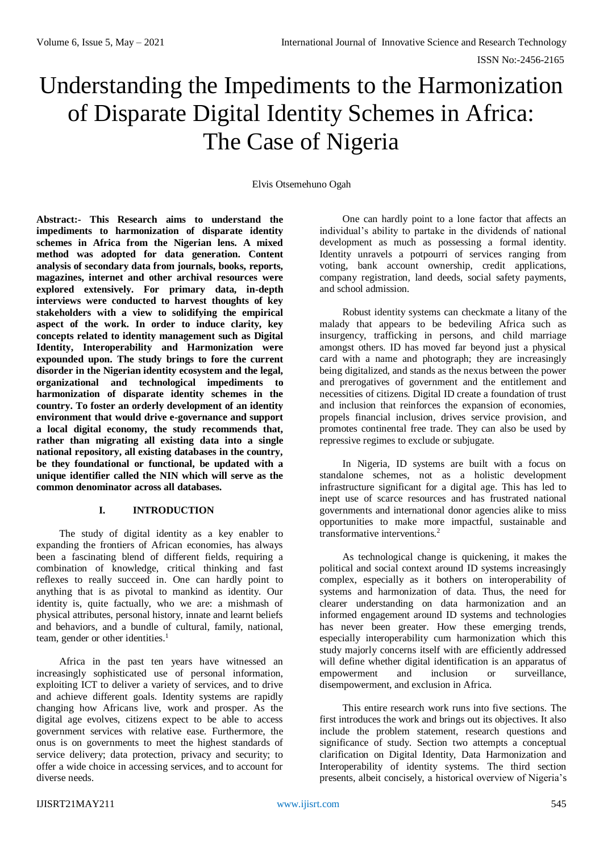# Understanding the Impediments to the Harmonization of Disparate Digital Identity Schemes in Africa: The Case of Nigeria

#### Elvis Otsemehuno Ogah

**Abstract:- This Research aims to understand the impediments to harmonization of disparate identity schemes in Africa from the Nigerian lens. A mixed method was adopted for data generation. Content analysis of secondary data from journals, books, reports, magazines, internet and other archival resources were explored extensively. For primary data, in-depth interviews were conducted to harvest thoughts of key stakeholders with a view to solidifying the empirical aspect of the work. In order to induce clarity, key concepts related to identity management such as Digital Identity, Interoperability and Harmonization were expounded upon. The study brings to fore the current disorder in the Nigerian identity ecosystem and the legal, organizational and technological impediments to harmonization of disparate identity schemes in the country. To foster an orderly development of an identity environment that would drive e-governance and support a local digital economy, the study recommends that, rather than migrating all existing data into a single national repository, all existing databases in the country, be they foundational or functional, be updated with a unique identifier called the NIN which will serve as the common denominator across all databases.**

## **I. INTRODUCTION**

The study of digital identity as a key enabler to expanding the frontiers of African economies, has always been a fascinating blend of different fields, requiring a combination of knowledge, critical thinking and fast reflexes to really succeed in. One can hardly point to anything that is as pivotal to mankind as identity. Our identity is, quite factually, who we are: a mishmash of physical attributes, personal history, innate and learnt beliefs and behaviors, and a bundle of cultural, family, national, team, gender or other identities.<sup>1</sup>

Africa in the past ten years have witnessed an increasingly sophisticated use of personal information, exploiting ICT to deliver a variety of services, and to drive and achieve different goals. Identity systems are rapidly changing how Africans live, work and prosper. As the digital age evolves, citizens expect to be able to access government services with relative ease. Furthermore, the onus is on governments to meet the highest standards of service delivery; data protection, privacy and security; to offer a wide choice in accessing services, and to account for diverse needs.

One can hardly point to a lone factor that affects an individual's ability to partake in the dividends of national development as much as possessing a formal identity. Identity unravels a potpourri of services ranging from voting, bank account ownership, credit applications, company registration, land deeds, social safety payments, and school admission.

Robust identity systems can checkmate a litany of the malady that appears to be bedeviling Africa such as insurgency, trafficking in persons, and child marriage amongst others. ID has moved far beyond just a physical card with a name and photograph; they are increasingly being digitalized, and stands as the nexus between the power and prerogatives of government and the entitlement and necessities of citizens. Digital ID create a foundation of trust and inclusion that reinforces the expansion of economies, propels financial inclusion, drives service provision, and promotes continental free trade. They can also be used by repressive regimes to exclude or subjugate.

In Nigeria, ID systems are built with a focus on standalone schemes, not as a holistic development infrastructure significant for a digital age. This has led to inept use of scarce resources and has frustrated national governments and international donor agencies alike to miss opportunities to make more impactful, sustainable and transformative interventions.<sup>2</sup>

As technological change is quickening, it makes the political and social context around ID systems increasingly complex, especially as it bothers on interoperability of systems and harmonization of data. Thus, the need for clearer understanding on data harmonization and an informed engagement around ID systems and technologies has never been greater. How these emerging trends, especially interoperability cum harmonization which this study majorly concerns itself with are efficiently addressed will define whether digital identification is an apparatus of empowerment and inclusion or surveillance, disempowerment, and exclusion in Africa.

This entire research work runs into five sections. The first introduces the work and brings out its objectives. It also include the problem statement, research questions and significance of study. Section two attempts a conceptual clarification on Digital Identity, Data Harmonization and Interoperability of identity systems. The third section presents, albeit concisely, a historical overview of Nigeria's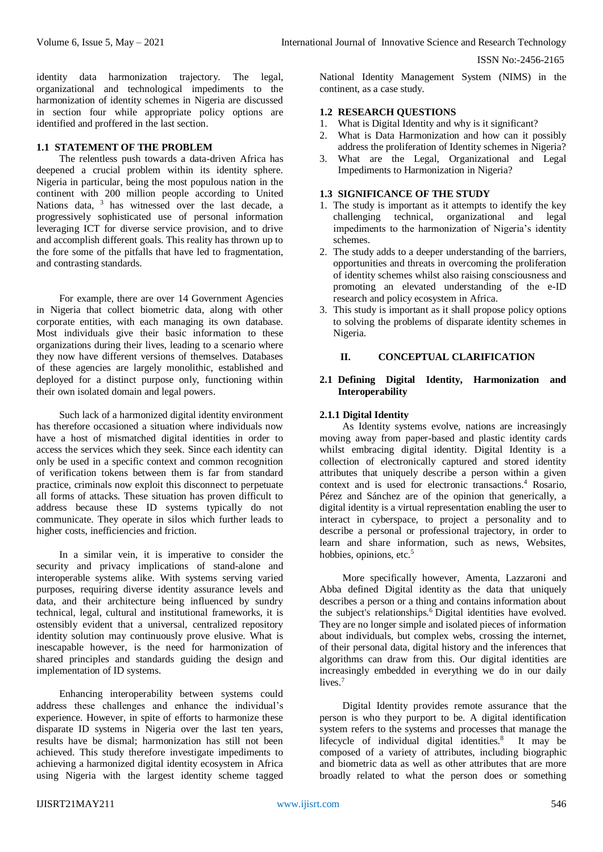identity data harmonization trajectory. The legal, organizational and technological impediments to the harmonization of identity schemes in Nigeria are discussed in section four while appropriate policy options are identified and proffered in the last section.

#### **1.1 STATEMENT OF THE PROBLEM**

The relentless push towards a data-driven Africa has deepened a crucial problem within its identity sphere. Nigeria in particular, being the most populous nation in the continent with 200 million people according to United Nations data, <sup>3</sup> has witnessed over the last decade, a progressively sophisticated use of personal information leveraging ICT for diverse service provision, and to drive and accomplish different goals. This reality has thrown up to the fore some of the pitfalls that have led to fragmentation, and contrasting standards.

For example, there are over 14 Government Agencies in Nigeria that collect biometric data, along with other corporate entities, with each managing its own database. Most individuals give their basic information to these organizations during their lives, leading to a scenario where they now have different versions of themselves. Databases of these agencies are largely monolithic, established and deployed for a distinct purpose only, functioning within their own isolated domain and legal powers.

Such lack of a harmonized digital identity environment has therefore occasioned a situation where individuals now have a host of mismatched digital identities in order to access the services which they seek. Since each identity can only be used in a specific context and common recognition of verification tokens between them is far from standard practice, criminals now exploit this disconnect to perpetuate all forms of attacks. These situation has proven difficult to address because these ID systems typically do not communicate. They operate in silos which further leads to higher costs, inefficiencies and friction.

In a similar vein, it is imperative to consider the security and privacy implications of stand-alone and interoperable systems alike. With systems serving varied purposes, requiring diverse identity assurance levels and data, and their architecture being influenced by sundry technical, legal, cultural and institutional frameworks, it is ostensibly evident that a universal, centralized repository identity solution may continuously prove elusive. What is inescapable however, is the need for harmonization of shared principles and standards guiding the design and implementation of ID systems.

Enhancing interoperability between systems could address these challenges and enhance the individual's experience. However, in spite of efforts to harmonize these disparate ID systems in Nigeria over the last ten years, results have be dismal; harmonization has still not been achieved. This study therefore investigate impediments to achieving a harmonized digital identity ecosystem in Africa using Nigeria with the largest identity scheme tagged

National Identity Management System (NIMS) in the continent, as a case study.

#### **1.2 RESEARCH QUESTIONS**

- 1. What is Digital Identity and why is it significant?
- 2. What is Data Harmonization and how can it possibly address the proliferation of Identity schemes in Nigeria?
- 3. What are the Legal, Organizational and Legal Impediments to Harmonization in Nigeria?

# **1.3 SIGNIFICANCE OF THE STUDY**

- 1. The study is important as it attempts to identify the key challenging technical, organizational and legal impediments to the harmonization of Nigeria's identity schemes.
- 2. The study adds to a deeper understanding of the barriers, opportunities and threats in overcoming the proliferation of identity schemes whilst also raising consciousness and promoting an elevated understanding of the e-ID research and policy ecosystem in Africa.
- 3. This study is important as it shall propose policy options to solving the problems of disparate identity schemes in Nigeria.

#### **II. CONCEPTUAL CLARIFICATION**

## **2.1 Defining Digital Identity, Harmonization and Interoperability**

# **2.1.1 Digital Identity**

As Identity systems evolve, nations are increasingly moving away from paper-based and plastic identity cards whilst embracing digital identity. Digital Identity is a collection of electronically captured and stored identity attributes that uniquely describe a person within a given context and is used for electronic transactions.<sup>4</sup> Rosario, Pérez and Sánchez are of the opinion that generically, a digital identity is a virtual representation enabling the user to interact in cyberspace, to project a personality and to describe a personal or professional trajectory, in order to learn and share information, such as news, Websites, hobbies, opinions, etc.<sup>5</sup>

More specifically however, Amenta, Lazzaroni and Abba defined Digital identity as the data that uniquely describes a person or a thing and contains information about the subject's relationships.<sup>6</sup> Digital identities have evolved. They are no longer simple and isolated pieces of information about individuals, but complex webs, crossing the internet, of their personal data, digital history and the inferences that algorithms can draw from this. Our digital identities are increasingly embedded in everything we do in our daily lives.<sup>7</sup>

Digital Identity provides remote assurance that the person is who they purport to be. A digital identification system refers to the systems and processes that manage the lifecycle of individual digital identities. $8$  It may be composed of a variety of attributes, including biographic and biometric data as well as other attributes that are more broadly related to what the person does or something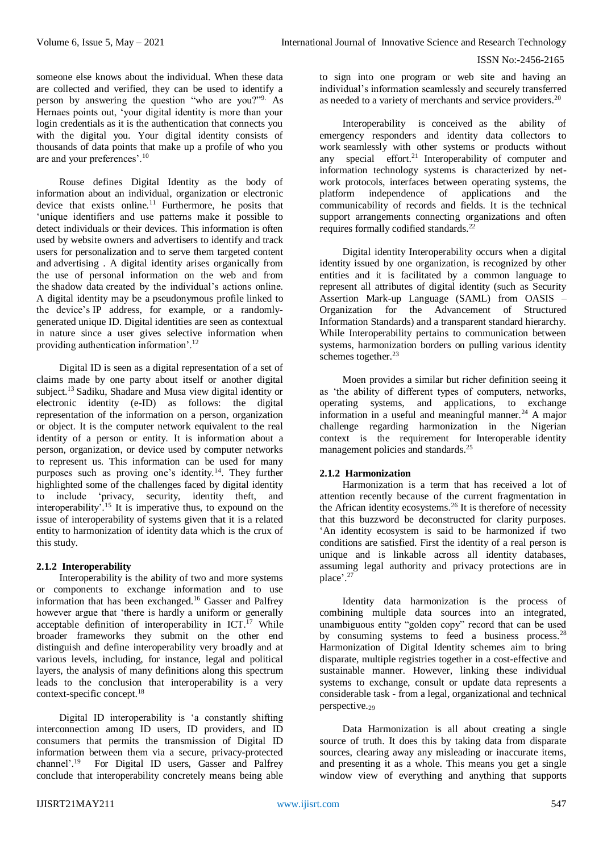someone else knows about the individual. When these data are collected and verified, they can be used to identify a person by answering the question "who are you?"9. As Hernaes points out, 'your digital identity is more than your login credentials as it is the authentication that connects you with the digital you. Your digital identity consists of thousands of data points that make up a profile of who you are and your preferences'.<sup>10</sup>

Rouse defines Digital Identity as the body of information about an individual, organization or electronic device that exists online.<sup>11</sup> Furthermore, he posits that 'unique identifiers and use patterns make it possible to detect individuals or their devices. This information is often used by website owners and advertisers to identify and track users for [personalization](https://searchcustomerexperience.techtarget.com/definition/personalization) and to serve them targeted content and [advertising](https://whatis.techtarget.com/definition/targeted-ad-targeted-advertising) . A digital identity arises organically from the use of personal information on the web and from the [shadow data](https://whatis.techtarget.com/definition/data-shadow) created by the individual's actions online. A digital identity may be a [pseudonymous profile](https://searchsecurity.techtarget.com/definition/pseudonymous-profile) linked to the device's [IP address,](https://searchwindevelopment.techtarget.com/definition/IP-address) for example, or a randomlygenerated unique ID. Digital identities are seen as contextual in nature since a user gives selective information when providing authentication information'.<sup>12</sup>

Digital ID is seen as a digital representation of a set of claims made by one party about itself or another digital subject.<sup>13</sup> Sadiku, Shadare and Musa view digital identity or electronic identity (e-ID) as follows: the digital representation of the information on a person, organization or object. It is the computer network equivalent to the real identity of a person or entity. It is information about a person, organization, or device used by computer networks to represent us. This information can be used for many purposes such as proving one's identity.<sup>14</sup>. They further highlighted some of the challenges faced by digital identity to include 'privacy, security, identity theft, and interoperability'.<sup>15</sup> It is imperative thus, to expound on the issue of interoperability of systems given that it is a related entity to harmonization of identity data which is the crux of this study.

## **2.1.2 Interoperability**

Interoperability is the ability of two and more systems or components to exchange information and to use information that has been exchanged.<sup>16</sup> Gasser and Palfrey however argue that 'there is hardly a uniform or generally acceptable definition of interoperability in ICT.<sup>17</sup> While broader frameworks they submit on the other end distinguish and define interoperability very broadly and at various levels, including, for instance, legal and political layers, the analysis of many definitions along this spectrum leads to the conclusion that interoperability is a very context-specific concept.<sup>18</sup>

Digital ID interoperability is 'a constantly shifting interconnection among ID users, ID providers, and ID consumers that permits the transmission of Digital ID information between them via a secure, privacy-protected channel'.<sup>19</sup> For Digital ID users, Gasser and Palfrey conclude that interoperability concretely means being able

to sign into one program or web site and having an individual's information seamlessly and securely transferred as needed to a variety of merchants and service providers.<sup>20</sup>

Interoperability is conceived as the ability of emergency responders and identity data collectors to work seamlessly with other systems or products without any special effort.<sup>21</sup> Interoperability of computer and information technology systems is characterized by network protocols, interfaces between operating systems, the platform independence of applications and the communicability of records and fields. It is the technical support arrangements connecting organizations and often requires formally codified standards.<sup>22</sup>

Digital identity Interoperability occurs when a digital identity issued by one organization, is recognized by other entities and it is facilitated by a common language to represent all attributes of digital identity (such as Security Assertion Mark-up Language (SAML) from OASIS – Organization for the Advancement of Structured Information Standards) and a transparent standard hierarchy. While Interoperability pertains to communication between systems, harmonization borders on pulling various identity schemes together.<sup>23</sup>

Moen provides a similar but richer definition seeing it as 'the ability of different types of computers, networks, operating systems, and applications, to exchange information in a useful and meaningful manner.<sup>24</sup> A major challenge regarding harmonization in the Nigerian context is the requirement for Interoperable identity management policies and standards.<sup>25</sup>

# **2.1.2 Harmonization**

Harmonization is a term that has received a lot of attention recently because of the current fragmentation in the African identity ecosystems.<sup>26</sup> It is therefore of necessity that this buzzword be deconstructed for clarity purposes. 'An identity ecosystem is said to be harmonized if two conditions are satisfied. First the identity of a real person is unique and is linkable across all identity databases, assuming legal authority and privacy protections are in place'. 27

Identity data harmonization is the process of combining multiple data sources into an integrated, unambiguous entity "golden copy" record that can be used by consuming systems to feed a business process. $28$ Harmonization of Digital Identity schemes aim to bring disparate, multiple registries together in a cost-effective and sustainable manner. However, linking these individual systems to exchange, consult or update data represents a considerable task - from a legal, organizational and technical perspective.<sup>29</sup>

Data Harmonization is all about creating a single source of truth. It does this by taking data from disparate sources, clearing away any misleading or inaccurate items, and presenting it as a whole. This means you get a single window view of everything and anything that supports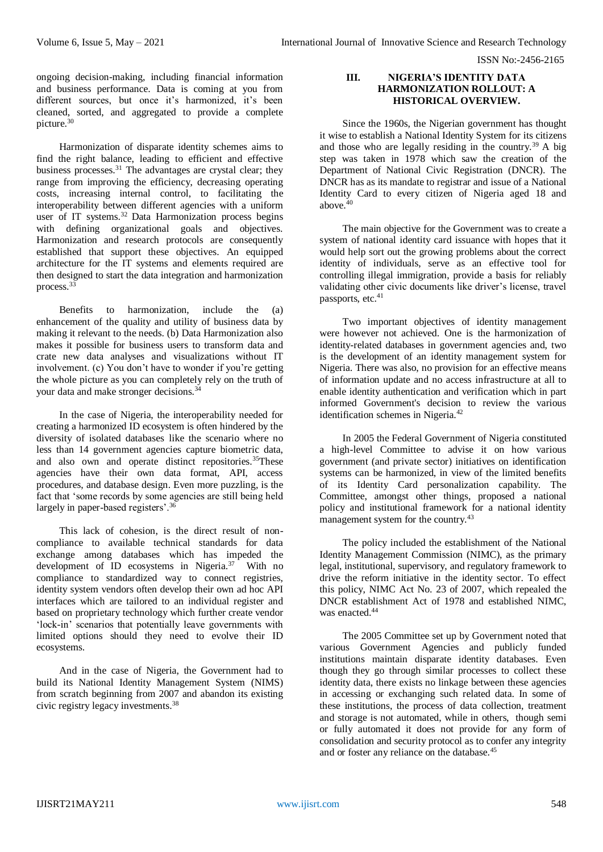ongoing decision-making, including financial information and business performance. Data is coming at you from different sources, but once it's harmonized, it's been cleaned, sorted, and aggregated to provide a complete picture.<sup>30</sup>

Harmonization of disparate identity schemes aims to find the right balance, leading to efficient and effective business processes.<sup>31</sup> The advantages are crystal clear; they range from improving the efficiency, decreasing operating costs, increasing internal control, to facilitating the interoperability between different agencies with a uniform user of IT systems.<sup>32</sup> Data Harmonization process begins with defining organizational goals and objectives. Harmonization and research protocols are consequently established that support these objectives. An equipped architecture for the IT systems and elements required are then designed to start the data integration and harmonization process.<sup>33</sup>

Benefits to harmonization, include the (a) enhancement of the quality and utility of business data by making it relevant to the needs. (b) Data Harmonization also makes it possible for business users to transform data and crate new data analyses and visualizations without IT involvement. (c) You don't have to wonder if you're getting the whole picture as you can completely rely on the truth of your data and make stronger decisions.<sup>34</sup>

In the case of Nigeria, the interoperability needed for creating a harmonized ID ecosystem is often hindered by the diversity of isolated databases like the scenario where no less than 14 government agencies capture biometric data, and also own and operate distinct repositories.<sup>35</sup>These agencies have their own data format, API, access procedures, and database design. Even more puzzling, is the fact that 'some records by some agencies are still being held largely in paper-based registers'.<sup>36</sup>

This lack of cohesion, is the direct result of noncompliance to available technical standards for data exchange among databases which has impeded the development of ID ecosystems in Nigeria. $37$  With no compliance to standardized way to connect registries, identity system vendors often develop their own ad hoc API interfaces which are tailored to an individual register and based on proprietary technology which further create vendor 'lock-in' scenarios that potentially leave governments with limited options should they need to evolve their ID ecosystems.

And in the case of Nigeria, the Government had to build its National Identity Management System (NIMS) from scratch beginning from 2007 and abandon its existing civic registry legacy investments.<sup>38</sup>

#### **III. NIGERIA'S IDENTITY DATA HARMONIZATION ROLLOUT: A HISTORICAL OVERVIEW.**

Since the 1960s, the Nigerian government has thought it wise to establish a National Identity System for its citizens and those who are legally residing in the country.<sup>39</sup> A big step was taken in 1978 which saw the creation of the Department of National Civic Registration (DNCR). The DNCR has as its mandate to registrar and issue of a National Identity Card to every citizen of Nigeria aged 18 and above. $40$ 

The main objective for the Government was to create a system of national identity card issuance with hopes that it would help sort out the growing problems about the correct identity of individuals, serve as an effective tool for controlling illegal immigration, provide a basis for reliably validating other civic documents like driver's license, travel passports, etc.<sup>41</sup>

Two important objectives of identity management were however not achieved. One is the harmonization of identity-related databases in government agencies and, two is the development of an identity management system for Nigeria. There was also, no provision for an effective means of information update and no access infrastructure at all to enable identity authentication and verification which in part informed Government's decision to review the various identification schemes in Nigeria.<sup>42</sup>

In 2005 the Federal Government of Nigeria constituted a high-level Committee to advise it on how various government (and private sector) initiatives on identification systems can be harmonized, in view of the limited benefits of its Identity Card personalization capability. The Committee, amongst other things, proposed a national policy and institutional framework for a national identity management system for the country.<sup>43</sup>

The policy included the establishment of the National Identity Management Commission (NIMC), as the primary legal, institutional, supervisory, and regulatory framework to drive the reform initiative in the identity sector. To effect this policy, NIMC Act No. 23 of 2007, which repealed the DNCR establishment Act of 1978 and established NIMC, was enacted.<sup>44</sup>

The 2005 Committee set up by Government noted that various Government Agencies and publicly funded institutions maintain disparate identity databases. Even though they go through similar processes to collect these identity data, there exists no linkage between these agencies in accessing or exchanging such related data. In some of these institutions, the process of data collection, treatment and storage is not automated, while in others, though semi or fully automated it does not provide for any form of consolidation and security protocol as to confer any integrity and or foster any reliance on the database.45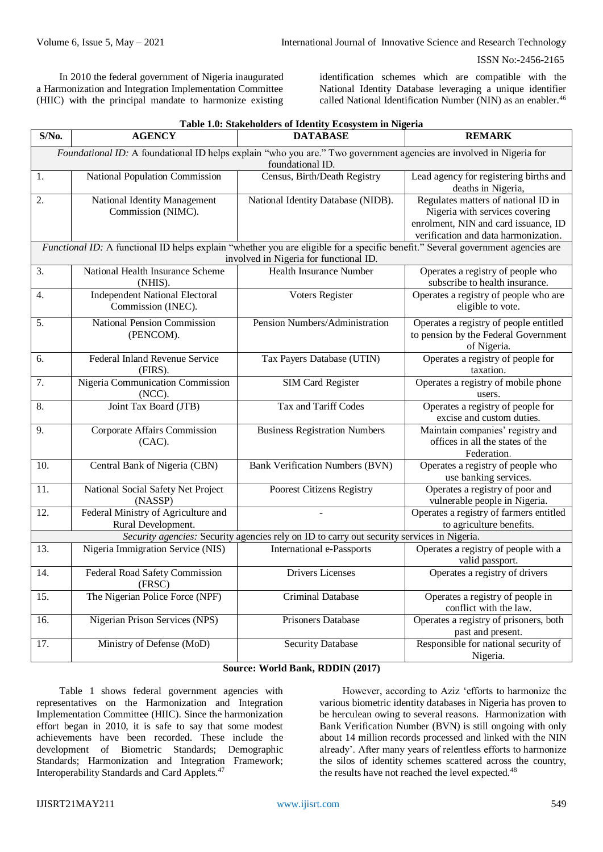In 2010 the federal government of Nigeria inaugurated a Harmonization and Integration Implementation Committee (HIIC) with the principal mandate to harmonize existing

identification schemes which are compatible with the National Identity Database leveraging a unique identifier called National Identification Number (NIN) as an enabler.<sup>46</sup>

| Table 1.0: Stakeholders of Identity Ecosystem in Nigeria                                                                                                                  |                                                             |                                        |                                                                                                                                                       |
|---------------------------------------------------------------------------------------------------------------------------------------------------------------------------|-------------------------------------------------------------|----------------------------------------|-------------------------------------------------------------------------------------------------------------------------------------------------------|
| $S/N0$ .                                                                                                                                                                  | <b>AGENCY</b>                                               | <b>DATABASE</b>                        | <b>REMARK</b>                                                                                                                                         |
| Foundational ID: A foundational ID helps explain "who you are." Two government agencies are involved in Nigeria for<br>foundational ID.                                   |                                                             |                                        |                                                                                                                                                       |
| 1.                                                                                                                                                                        | National Population Commission                              | Census, Birth/Death Registry           | Lead agency for registering births and<br>deaths in Nigeria,                                                                                          |
| 2.                                                                                                                                                                        | National Identity Management<br>Commission (NIMC).          | National Identity Database (NIDB).     | Regulates matters of national ID in<br>Nigeria with services covering<br>enrolment, NIN and card issuance, ID<br>verification and data harmonization. |
| Functional ID: A functional ID helps explain "whether you are eligible for a specific benefit." Several government agencies are<br>involved in Nigeria for functional ID. |                                                             |                                        |                                                                                                                                                       |
| 3.                                                                                                                                                                        | National Health Insurance Scheme<br>(NHIS).                 | <b>Health Insurance Number</b>         | Operates a registry of people who<br>subscribe to health insurance.                                                                                   |
| 4.                                                                                                                                                                        | <b>Independent National Electoral</b><br>Commission (INEC). | Voters Register                        | Operates a registry of people who are<br>eligible to vote.                                                                                            |
| 5.                                                                                                                                                                        | <b>National Pension Commission</b><br>(PENCOM).             | Pension Numbers/Administration         | Operates a registry of people entitled<br>to pension by the Federal Government<br>of Nigeria.                                                         |
| 6.                                                                                                                                                                        | Federal Inland Revenue Service<br>(FIRS).                   | Tax Payers Database (UTIN)             | Operates a registry of people for<br>taxation.                                                                                                        |
| 7.                                                                                                                                                                        | Nigeria Communication Commission<br>(NCC).                  | <b>SIM Card Register</b>               | Operates a registry of mobile phone<br>users.                                                                                                         |
| 8.                                                                                                                                                                        | Joint Tax Board (JTB)                                       | Tax and Tariff Codes                   | Operates a registry of people for<br>excise and custom duties.                                                                                        |
| 9.                                                                                                                                                                        | Corporate Affairs Commission<br>$(CAC)$ .                   | <b>Business Registration Numbers</b>   | Maintain companies' registry and<br>offices in all the states of the<br>Federation.                                                                   |
| 10.                                                                                                                                                                       | Central Bank of Nigeria (CBN)                               | <b>Bank Verification Numbers (BVN)</b> | Operates a registry of people who<br>use banking services.                                                                                            |
| 11.                                                                                                                                                                       | National Social Safety Net Project<br>(NASSP)               | Poorest Citizens Registry              | Operates a registry of poor and<br>vulnerable people in Nigeria.                                                                                      |
| 12.                                                                                                                                                                       | Federal Ministry of Agriculture and<br>Rural Development.   |                                        | Operates a registry of farmers entitled<br>to agriculture benefits.                                                                                   |
| Security agencies: Security agencies rely on ID to carry out security services in Nigeria.                                                                                |                                                             |                                        |                                                                                                                                                       |
| 13.                                                                                                                                                                       | Nigeria Immigration Service (NIS)                           | International e-Passports              | Operates a registry of people with a<br>valid passport.                                                                                               |
| 14.                                                                                                                                                                       | Federal Road Safety Commission<br>(FRSC)                    | <b>Drivers Licenses</b>                | Operates a registry of drivers                                                                                                                        |
| 15.                                                                                                                                                                       | The Nigerian Police Force (NPF)                             | Criminal Database                      | Operates a registry of people in<br>conflict with the law.                                                                                            |
| 16.                                                                                                                                                                       | Nigerian Prison Services (NPS)                              | Prisoners Database                     | Operates a registry of prisoners, both<br>past and present.                                                                                           |
| 17.                                                                                                                                                                       | Ministry of Defense (MoD)                                   | <b>Security Database</b>               | Responsible for national security of<br>Nigeria.                                                                                                      |

## **Source: World Bank, RDDIN (2017)**

Table 1 shows federal government agencies with representatives on the Harmonization and Integration Implementation Committee (HIIC). Since the harmonization effort began in 2010, it is safe to say that some modest achievements have been recorded. These include the development of Biometric Standards; Demographic Standards; Harmonization and Integration Framework; Interoperability Standards and Card Applets.<sup>47</sup>

However, according to Aziz 'efforts to harmonize the various biometric identity databases in Nigeria has proven to be herculean owing to several reasons. Harmonization with Bank Verification Number (BVN) is still ongoing with only about 14 million records processed and linked with the NIN already'. After many years of relentless efforts to harmonize the silos of identity schemes scattered across the country, the results have not reached the level expected.<sup>48</sup>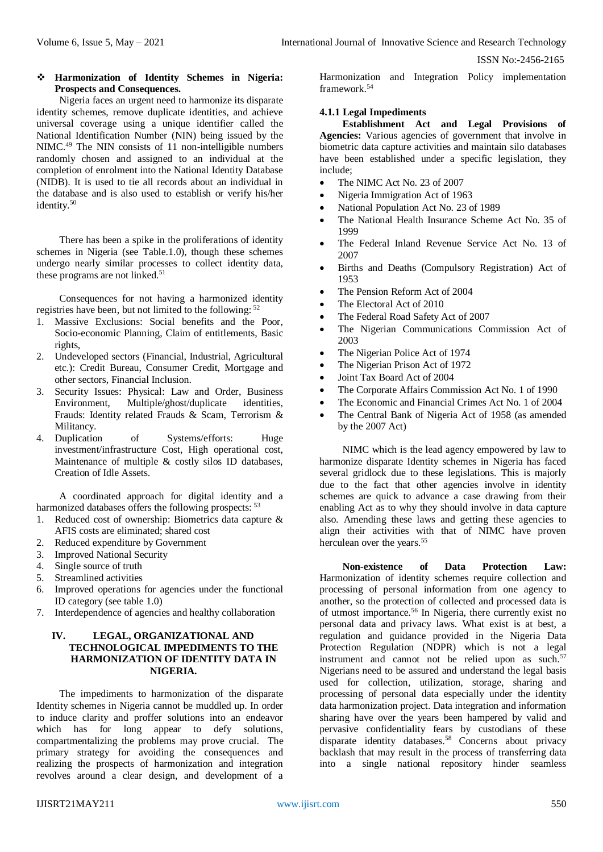## **Harmonization of Identity Schemes in Nigeria: Prospects and Consequences.**

Nigeria faces an urgent need to harmonize its disparate identity schemes, remove duplicate identities, and achieve universal coverage using a unique identifier called the National Identification Number (NIN) being issued by the NIMC.<sup>49</sup> The NIN consists of 11 non-intelligible numbers randomly chosen and assigned to an individual at the completion of enrolment into the National Identity Database (NIDB). It is used to tie all records about an individual in the database and is also used to establish or verify his/her identity.<sup>50</sup>

There has been a spike in the proliferations of identity schemes in Nigeria (see Table.1.0), though these schemes undergo nearly similar processes to collect identity data, these programs are not linked.<sup>51</sup>

Consequences for not having a harmonized identity registries have been, but not limited to the following: <sup>52</sup>

- 1. Massive Exclusions: Social benefits and the Poor, Socio-economic Planning, Claim of entitlements, Basic rights,
- 2. Undeveloped sectors (Financial, Industrial, Agricultural etc.): Credit Bureau, Consumer Credit, Mortgage and other sectors, Financial Inclusion.
- 3. Security Issues: Physical: Law and Order, Business Environment, Multiple/ghost/duplicate identities, Frauds: Identity related Frauds & Scam, Terrorism & Militancy.<br>4. Duplication
- of Systems/efforts: Huge investment/infrastructure Cost, High operational cost, Maintenance of multiple & costly silos ID databases, Creation of Idle Assets.

A coordinated approach for digital identity and a harmonized databases offers the following prospects:  $53$ 

- 1. Reduced cost of ownership: Biometrics data capture & AFIS costs are eliminated; shared cost
- 2. Reduced expenditure by Government
- 3. Improved National Security
- 4. Single source of truth
- 5. Streamlined activities
- 6. Improved operations for agencies under the functional ID category (see table 1.0)
- 7. Interdependence of agencies and healthy collaboration

# **IV. LEGAL, ORGANIZATIONAL AND TECHNOLOGICAL IMPEDIMENTS TO THE HARMONIZATION OF IDENTITY DATA IN NIGERIA.**

The impediments to harmonization of the disparate Identity schemes in Nigeria cannot be muddled up. In order to induce clarity and proffer solutions into an endeavor which has for long appear to defy solutions, compartmentalizing the problems may prove crucial. The primary strategy for avoiding the consequences and realizing the prospects of harmonization and integration revolves around a clear design, and development of a

Harmonization and Integration Policy implementation framework.<sup>54</sup>

#### **4.1.1 Legal Impediments**

**Establishment Act and Legal Provisions of Agencies:** Various agencies of government that involve in biometric data capture activities and maintain silo databases have been established under a specific legislation, they include;

- The NIMC Act No. 23 of 2007
- Nigeria Immigration Act of 1963
- National Population Act No. 23 of 1989
- The National Health Insurance Scheme Act No. 35 of 1999
- The Federal Inland Revenue Service Act No. 13 of 2007
- Births and Deaths (Compulsory Registration) Act of 1953
- The Pension Reform Act of 2004
- The Electoral Act of 2010
- The Federal Road Safety Act of 2007
- The Nigerian Communications Commission Act of 2003
- The Nigerian Police Act of 1974
- The Nigerian Prison Act of 1972
- Joint Tax Board Act of 2004
- The Corporate Affairs Commission Act No. 1 of 1990
- The Economic and Financial Crimes Act No. 1 of 2004
- The Central Bank of Nigeria Act of 1958 (as amended by the 2007 Act)

NIMC which is the lead agency empowered by law to harmonize disparate Identity schemes in Nigeria has faced several gridlock due to these legislations. This is majorly due to the fact that other agencies involve in identity schemes are quick to advance a case drawing from their enabling Act as to why they should involve in data capture also. Amending these laws and getting these agencies to align their activities with that of NIMC have proven herculean over the years.<sup>55</sup>

**Non-existence of Data Protection Law:**  Harmonization of identity schemes require collection and processing of personal information from one agency to another, so the protection of collected and processed data is of utmost importance.<sup>56</sup> In Nigeria, there currently exist no personal data and privacy laws. What exist is at best, a regulation and guidance provided in the Nigeria Data Protection Regulation (NDPR) which is not a legal instrument and cannot not be relied upon as such.<sup>57</sup> Nigerians need to be assured and understand the legal basis used for collection, utilization, storage, sharing and processing of personal data especially under the identity data harmonization project. Data integration and information sharing have over the years been hampered by valid and pervasive confidentiality fears by custodians of these  $\frac{1}{1}$  disparate identity databases.<sup>58</sup> Concerns about privacy backlash that may result in the process of transferring data into a single national repository hinder seamless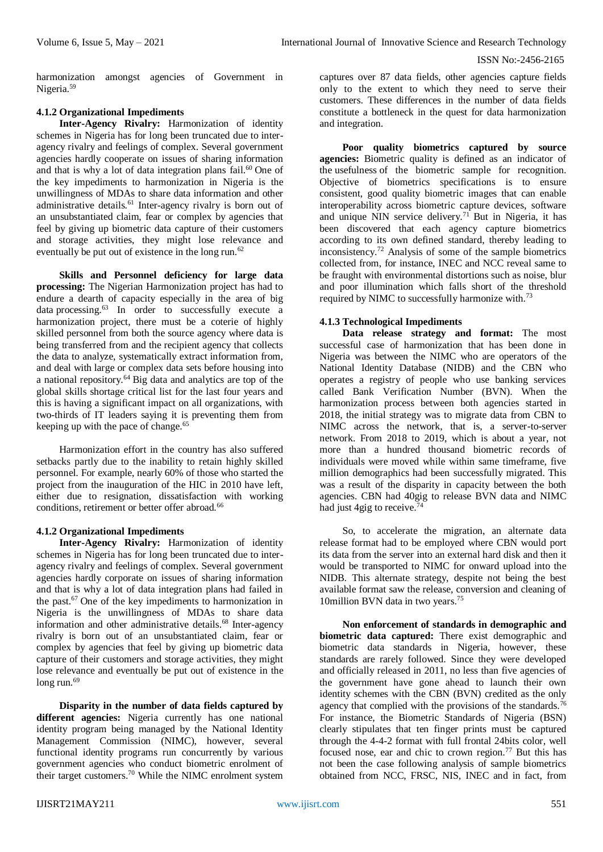harmonization amongst agencies of Government in Nigeria.<sup>59</sup>

# **4.1.2 Organizational Impediments**

**Inter-Agency Rivalry:** Harmonization of identity schemes in Nigeria has for long been truncated due to interagency rivalry and feelings of complex. Several government agencies hardly cooperate on issues of sharing information and that is why a lot of data integration plans fail.<sup>60</sup> One of the key impediments to harmonization in Nigeria is the unwillingness of MDAs to share data information and other administrative details.<sup>61</sup> Inter-agency rivalry is born out of an unsubstantiated claim, fear or complex by agencies that feel by giving up biometric data capture of their customers and storage activities, they might lose relevance and eventually be put out of existence in the long run.<sup>62</sup>

**Skills and Personnel deficiency for large data processing:** The Nigerian Harmonization project has had to endure a dearth of capacity especially in the area of big data processing.<sup>63</sup> In order to successfully execute a harmonization project, there must be a coterie of highly skilled personnel from both the source agency where data is being transferred from and the recipient agency that collects the data to analyze, systematically extract information from, and deal with large or complex [data sets](https://en.wikipedia.org/wiki/Data_set) before housing into a national repository. $64$  Big data and analytics are top of the global skills shortage critical list for the last four years and this is having a significant impact on all organizations, with two-thirds of IT leaders saying it is preventing them from keeping up with the pace of change.<sup>65</sup>

Harmonization effort in the country has also suffered setbacks partly due to the inability to retain highly skilled personnel. For example, nearly 60% of those who started the project from the inauguration of the HIC in 2010 have left, either due to resignation, dissatisfaction with working conditions, retirement or better offer abroad.<sup>66</sup>

# **4.1.2 Organizational Impediments**

**Inter-Agency Rivalry:** Harmonization of identity schemes in Nigeria has for long been truncated due to interagency rivalry and feelings of complex. Several government agencies hardly corporate on issues of sharing information and that is why a lot of data integration plans had failed in the past.<sup>67</sup> One of the key impediments to harmonization in Nigeria is the unwillingness of MDAs to share data information and other administrative details.<sup>68</sup> Inter-agency rivalry is born out of an unsubstantiated claim, fear or complex by agencies that feel by giving up biometric data capture of their customers and storage activities, they might lose relevance and eventually be put out of existence in the long run.<sup>69</sup>

**Disparity in the number of data fields captured by different agencies:** Nigeria currently has one national identity program being managed by the National Identity Management Commission (NIMC), however, several functional identity programs run concurrently by various government agencies who conduct biometric enrolment of their target customers.<sup>70</sup> While the NIMC enrolment system

captures over 87 data fields, other agencies capture fields only to the extent to which they need to serve their customers. These differences in the number of data fields constitute a bottleneck in the quest for data harmonization and integration.

**Poor quality biometrics captured by source agencies:** Biometric quality is defined as an indicator of the usefulness of the biometric sample for recognition. Objective of biometrics specifications is to ensure consistent, good quality biometric images that can enable interoperability across biometric capture devices, software and unique NIN service delivery.<sup>71</sup> But in Nigeria, it has been discovered that each agency capture biometrics according to its own defined standard, thereby leading to inconsistency.<sup>72</sup> Analysis of some of the sample biometrics collected from, for instance, INEC and NCC reveal same to be fraught with environmental distortions such as noise, blur and poor illumination which falls short of the threshold required by NIMC to successfully harmonize with.<sup>73</sup>

# **4.1.3 Technological Impediments**

**Data release strategy and format:** The most successful case of harmonization that has been done in Nigeria was between the NIMC who are operators of the National Identity Database (NIDB) and the CBN who operates a registry of people who use banking services called Bank Verification Number (BVN). When the harmonization process between both agencies started in 2018, the initial strategy was to migrate data from CBN to NIMC across the network, that is, a server-to-server network. From 2018 to 2019, which is about a year, not more than a hundred thousand biometric records of individuals were moved while within same timeframe, five million demographics had been successfully migrated. This was a result of the disparity in capacity between the both agencies. CBN had 40gig to release BVN data and NIMC had just 4gig to receive.<sup>7</sup>

So, to accelerate the migration, an alternate data release format had to be employed where CBN would port its data from the server into an external hard disk and then it would be transported to NIMC for onward upload into the NIDB. This alternate strategy, despite not being the best available format saw the release, conversion and cleaning of 10million BVN data in two years.<sup>75</sup>

**Non enforcement of standards in demographic and biometric data captured:** There exist demographic and biometric data standards in Nigeria, however, these standards are rarely followed. Since they were developed and officially released in 2011, no less than five agencies of the government have gone ahead to launch their own identity schemes with the CBN (BVN) credited as the only agency that complied with the provisions of the standards.<sup>76</sup> For instance, the Biometric Standards of Nigeria (BSN) clearly stipulates that ten finger prints must be captured through the 4-4-2 format with full frontal 24bits color, well focused nose, ear and chic to crown region.<sup>77</sup> But this has not been the case following analysis of sample biometrics obtained from NCC, FRSC, NIS, INEC and in fact, from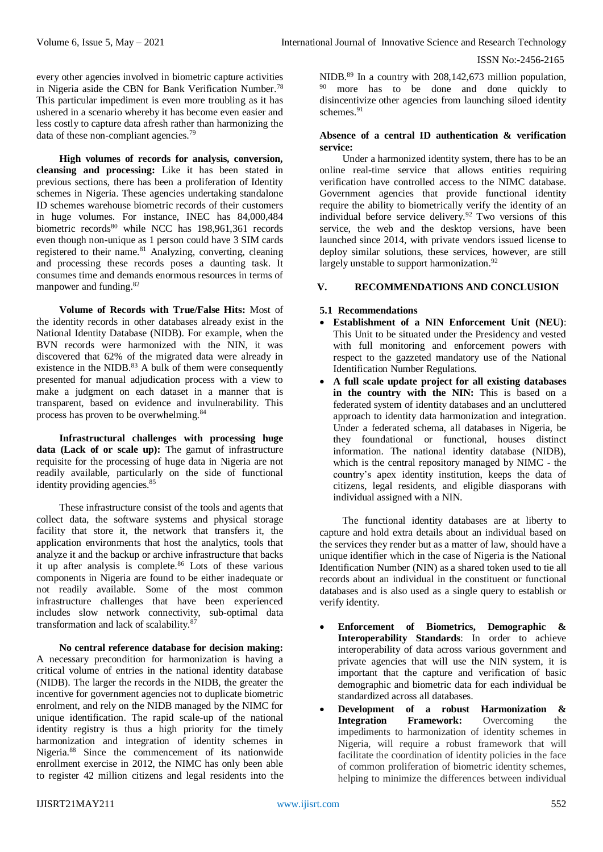every other agencies involved in biometric capture activities in Nigeria aside the CBN for Bank Verification Number.<sup>78</sup> This particular impediment is even more troubling as it has ushered in a scenario whereby it has become even easier and less costly to capture data afresh rather than harmonizing the data of these non-compliant agencies.<sup>79</sup>

**High volumes of records for analysis, conversion, cleansing and processing:** Like it has been stated in previous sections, there has been a proliferation of Identity schemes in Nigeria. These agencies undertaking standalone ID schemes warehouse biometric records of their customers in huge volumes. For instance, INEC has 84,000,484 biometric records<sup>80</sup> while NCC has 198,961,361 records even though non-unique as 1 person could have 3 SIM cards registered to their name.<sup>81</sup> Analyzing, converting, cleaning and processing these records poses a daunting task. It consumes time and demands enormous resources in terms of manpower and funding.<sup>82</sup>

**Volume of Records with True/False Hits:** Most of the identity records in other databases already exist in the National Identity Database (NIDB). For example, when the BVN records were harmonized with the NIN, it was discovered that 62% of the migrated data were already in existence in the NIDB. $83$  A bulk of them were consequently presented for manual adjudication process with a view to make a judgment on each dataset in a manner that is transparent, based on evidence and invulnerability. This process has proven to be overwhelming.<sup>84</sup>

**Infrastructural challenges with processing huge**  data (Lack of or scale up): The gamut of infrastructure requisite for the processing of huge data in Nigeria are not readily available, particularly on the side of functional identity providing agencies.<sup>85</sup>

These infrastructure consist of the tools and agents that collect data, the software systems and physical storage facility that store it, the network that transfers it, the application environments that host the analytics, tools that analyze it and the backup or archive infrastructure that backs it up after analysis is complete.<sup>86</sup> Lots of these various components in Nigeria are found to be either inadequate or not readily available. Some of the most common infrastructure challenges that have been experienced includes slow network connectivity, sub-optimal data transformation and lack of scalability.<sup>87</sup>

**No central reference database for decision making:**  A necessary precondition for harmonization is having a critical volume of entries in the national identity database (NIDB). The larger the records in the NIDB, the greater the incentive for government agencies not to duplicate biometric enrolment, and rely on the NIDB managed by the NIMC for unique identification. The rapid scale-up of the national identity registry is thus a high priority for the timely harmonization and integration of identity schemes in Nigeria.<sup>88</sup> Since the commencement of its nationwide enrollment exercise in 2012, the NIMC has only been able to register 42 million citizens and legal residents into the

NIDB.<sup>89</sup> In a country with 208,142,673 million population, <sup>90</sup> more has to be done and done quickly to disincentivize other agencies from launching siloed identity schemes<sup>91</sup>

#### **Absence of a central ID authentication & verification service:**

Under a harmonized identity system, there has to be an online real-time service that allows entities requiring verification have controlled access to the NIMC database. Government agencies that provide functional identity require the ability to biometrically verify the identity of an individual before service delivery.<sup>92</sup> Two versions of this service, the web and the desktop versions, have been launched since 2014, with private vendors issued license to deploy similar solutions, these services, however, are still largely unstable to support harmonization.<sup>92</sup>

## **V. RECOMMENDATIONS AND CONCLUSION**

#### **5.1 Recommendations**

- **Establishment of a NIN Enforcement Unit (NEU)**: This Unit to be situated under the Presidency and vested with full monitoring and enforcement powers with respect to the gazzeted mandatory use of the National Identification Number Regulations.
- **A full scale update project for all existing databases**  in the country with the NIN: This is based on a federated system of identity databases and an uncluttered approach to identity data harmonization and integration. Under a federated schema, all databases in Nigeria, be they foundational or functional, houses distinct information. The national identity database (NIDB), which is the central repository managed by NIMC - the country's apex identity institution, keeps the data of citizens, legal residents, and eligible diasporans with individual assigned with a NIN.

The functional identity databases are at liberty to capture and hold extra details about an individual based on the services they render but as a matter of law, should have a unique identifier which in the case of Nigeria is the National Identification Number (NIN) as a shared token used to tie all records about an individual in the constituent or functional databases and is also used as a single query to establish or verify identity.

- **Enforcement of Biometrics, Demographic & Interoperability Standards:** In order to achieve interoperability of data across various government and private agencies that will use the NIN system, it is important that the capture and verification of basic demographic and biometric data for each individual be standardized across all databases.
- **Development of a robust Harmonization & Integration Framework:** Overcoming the impediments to harmonization of identity schemes in Nigeria, will require a robust framework that will facilitate the coordination of identity policies in the face of common proliferation of biometric identity schemes, helping to minimize the differences between individual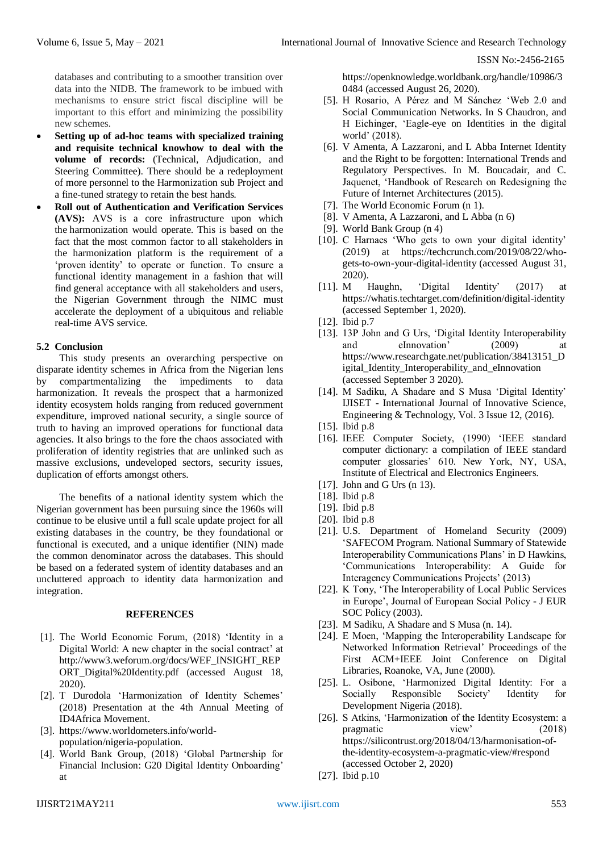databases and contributing to a smoother transition over data into the NIDB. The framework to be imbued with mechanisms to ensure strict fiscal discipline will be important to this effort and minimizing the possibility new schemes.

- **Setting up of ad-hoc teams with specialized training and requisite technical knowhow to deal with the volume of records:** (Technical, Adjudication, and Steering Committee). There should be a redeployment of more personnel to the Harmonization sub Project and a fine-tuned strategy to retain the best hands.
- **Roll out of Authentication and Verification Services (AVS):** AVS is a core infrastructure upon which the harmonization would operate. This is based on the fact that the most common factor to all stakeholders in the harmonization platform is the requirement of a 'proven identity' to operate or function. To ensure a functional identity management in a fashion that will find general acceptance with all stakeholders and users, the Nigerian Government through the NIMC must accelerate the deployment of a ubiquitous and reliable real-time AVS service.

# **5.2 Conclusion**

This study presents an overarching perspective on disparate identity schemes in Africa from the Nigerian lens by compartmentalizing the impediments to data harmonization. It reveals the prospect that a harmonized identity ecosystem holds ranging from reduced government expenditure, improved national security, a single source of truth to having an improved operations for functional data agencies. It also brings to the fore the chaos associated with proliferation of identity registries that are unlinked such as massive exclusions, undeveloped sectors, security issues, duplication of efforts amongst others.

The benefits of a national identity system which the Nigerian government has been pursuing since the 1960s will continue to be elusive until a full scale update project for all existing databases in the country, be they foundational or functional is executed, and a unique identifier (NIN) made the common denominator across the databases. This should be based on a federated system of identity databases and an uncluttered approach to identity data harmonization and integration.

## **REFERENCES**

- [1]. The World Economic Forum, (2018) 'Identity in a Digital World: A new chapter in the social contract' at http://www3.weforum.org/docs/WEF\_INSIGHT\_REP ORT\_Digital%20Identity.pdf (accessed August 18, 2020).
- [2]. T Durodola 'Harmonization of Identity Schemes' (2018) Presentation at the 4th Annual Meeting of ID4Africa Movement.
- [3]. https://www.worldometers.info/worldpopulation/nigeria-population.
- [4]. World Bank Group, (2018) 'Global Partnership for Financial Inclusion: G20 Digital Identity Onboarding' at

https://openknowledge.worldbank.org/handle/10986/3 0484 (accessed August 26, 2020).

- [5]. H Rosario, A Pérez and M Sánchez 'Web 2.0 and Social Communication Networks. In S Chaudron, and H Eichinger, 'Eagle-eye on Identities in the digital world' (2018).
- [6]. V Amenta, A Lazzaroni, and L Abba Internet Identity and the Right to be forgotten: International Trends and Regulatory Perspectives. In M. Boucadair, and C. Jaquenet, 'Handbook of Research on Redesigning the Future of Internet Architectures (2015).
- [7]. The World Economic Forum (n 1).
- [8]. V Amenta, A Lazzaroni, and L Abba (n 6)
- [9]. World Bank Group (n 4)
- [10]. C Harnaes 'Who gets to own your digital identity' (2019) at https://techcrunch.com/2019/08/22/whogets-to-own-your-digital-identity (accessed August 31, 2020).
- [11]. M Haughn, 'Digital Identity' (2017) at https://whatis.techtarget.com/definition/digital-identity (accessed September 1, 2020).
- [12]. Ibid p.7
- [13]. 13P John and G Urs, 'Digital Identity Interoperability and eInnovation' (2009) at https://www.researchgate.net/publication/38413151\_D igital\_Identity\_Interoperability\_and\_eInnovation (accessed September 3 2020).
- [14]. M Sadiku, A Shadare and S Musa 'Digital Identity' IJISET - International Journal of Innovative Science, Engineering & Technology, Vol. 3 Issue 12, (2016).
- [15]. Ibid p.8
- [16]. IEEE Computer Society, (1990) 'IEEE standard computer dictionary: a compilation of IEEE standard computer glossaries' 610. New York, NY, USA, Institute of Electrical and Electronics Engineers.
- [17]. John and G Urs (n 13).
- [18]. Ibid p.8
- [19]. Ibid p.8
- [20]. Ibid p.8
- [21]. U.S. Department of Homeland Security (2009) 'SAFECOM Program. National Summary of Statewide Interoperability Communications Plans' in D Hawkins, 'Communications Interoperability: A Guide for Interagency Communications Projects' (2013)
- [22]. K Tony, 'The Interoperability of Local Public Services in Europe', Journal of European Social Policy - J EUR SOC Policy (2003).
- [23]. M Sadiku, A Shadare and S Musa (n. 14).
- [24]. E Moen, 'Mapping the Interoperability Landscape for Networked Information Retrieval' Proceedings of the First ACM+IEEE Joint Conference on Digital Libraries, Roanoke, VA, June (2000).
- [25]. L. Osibone, 'Harmonized Digital Identity: For a Socially Responsible Society' Identity for Development Nigeria (2018).
- [26]. S Atkins, 'Harmonization of the Identity Ecosystem: a pragmatic view' (2018) https://silicontrust.org/2018/04/13/harmonisation-ofthe-identity-ecosystem-a-pragmatic-view/#respond (accessed October 2, 2020)
- [27]. Ibid p.10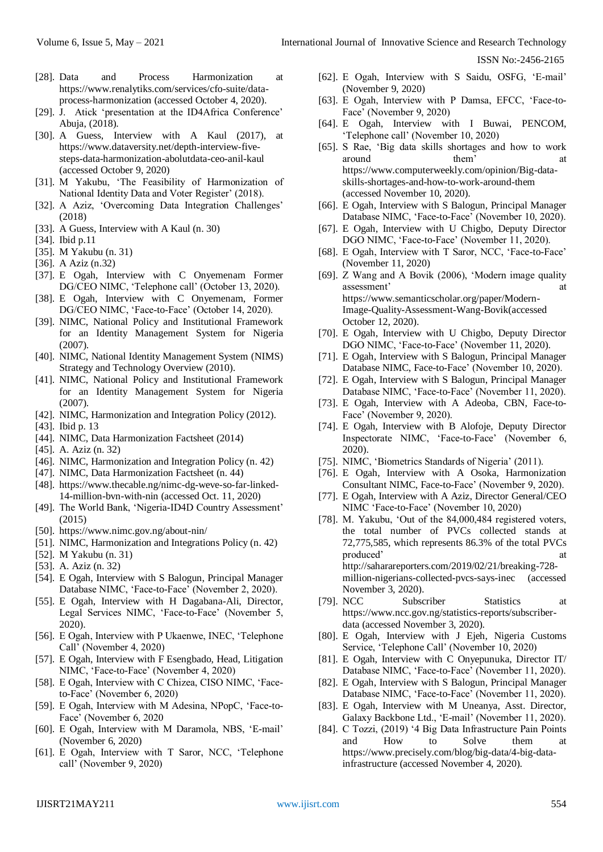- [28]. Data and Process Harmonization at https://www.renalytiks.com/services/cfo-suite/dataprocess-harmonization (accessed October 4, 2020).
- [29]. J. Atick 'presentation at the ID4Africa Conference' Abuja, (2018).
- [30]. A Guess, Interview with A Kaul (2017), at https://www.dataversity.net/depth-interview-fivesteps-data-harmonization-abolutdata-ceo-anil-kaul (accessed October 9, 2020)
- [31]. M Yakubu, 'The Feasibility of Harmonization of National Identity Data and Voter Register' (2018).
- [32]. A Aziz, 'Overcoming Data Integration Challenges' (2018)
- [33]. A Guess, Interview with A Kaul (n. 30)
- [34]. Ibid p.11
- [35]. M Yakubu (n. 31)
- [36]. A Aziz (n.32)
- [37]. E Ogah, Interview with C Onyemenam Former DG/CEO NIMC, 'Telephone call' (October 13, 2020).
- [38]. E Ogah, Interview with C Onyemenam, Former DG/CEO NIMC, 'Face-to-Face' (October 14, 2020).
- [39]. NIMC, National Policy and Institutional Framework for an Identity Management System for Nigeria (2007).
- [40]. NIMC, National Identity Management System (NIMS) Strategy and Technology Overview (2010).
- [41]. NIMC, National Policy and Institutional Framework for an Identity Management System for Nigeria (2007).
- [42]. NIMC, Harmonization and Integration Policy (2012).
- [43]. Ibid p. 13
- [44]. NIMC, Data Harmonization Factsheet (2014)
- [45]. A. Aziz (n. 32)
- [46]. NIMC, Harmonization and Integration Policy (n. 42)
- [47]. NIMC, Data Harmonization Factsheet (n. 44)
- [48]. https://www.thecable.ng/nimc-dg-weve-so-far-linked-14-million-bvn-with-nin (accessed Oct. 11, 2020)
- [49]. The World Bank, 'Nigeria-ID4D Country Assessment' (2015)
- [50]. https://www.nimc.gov.ng/about-nin/
- [51]. NIMC, Harmonization and Integrations Policy (n. 42)
- [52]. M Yakubu (n. 31)
- [53]. A. Aziz (n. 32)
- [54]. E Ogah, Interview with S Balogun, Principal Manager Database NIMC, 'Face-to-Face' (November 2, 2020).
- [55]. E Ogah, Interview with H Dagabana-Ali, Director, Legal Services NIMC, 'Face-to-Face' (November 5, 2020).
- [56]. E Ogah, Interview with P Ukaenwe, INEC, 'Telephone Call' (November 4, 2020)
- [57]. E Ogah, Interview with F Esengbado, Head, Litigation NIMC, 'Face-to-Face' (November 4, 2020)
- [58]. E Ogah, Interview with C Chizea, CISO NIMC, 'Faceto-Face' (November 6, 2020)
- [59]. E Ogah, Interview with M Adesina, NPopC, 'Face-to-Face' (November 6, 2020
- [60]. E Ogah, Interview with M Daramola, NBS, 'E-mail' (November 6, 2020)
- [61]. E Ogah, Interview with T Saror, NCC, 'Telephone call' (November 9, 2020)
- [62]. E Ogah, Interview with S Saidu, OSFG, 'E-mail' (November 9, 2020)
- [63]. E Ogah, Interview with P Damsa, EFCC, 'Face-to-Face' (November 9, 2020)
- [64]. E Ogah, Interview with I Buwai, PENCOM, 'Telephone call' (November 10, 2020)
- [65]. S Rae, 'Big data skills shortages and how to work around them' at https://www.computerweekly.com/opinion/Big-dataskills-shortages-and-how-to-work-around-them (accessed November 10, 2020).
- [66]. E Ogah, Interview with S Balogun, Principal Manager Database NIMC, 'Face-to-Face' (November 10, 2020).
- [67]. E Ogah, Interview with U Chigbo, Deputy Director DGO NIMC, 'Face-to-Face' (November 11, 2020).
- [68]. E Ogah, Interview with T Saror, NCC, 'Face-to-Face' (November 11, 2020)
- [69]. Z Wang and A Bovik (2006), 'Modern image quality assessment' at https://www.semanticscholar.org/paper/Modern-Image-Quality-Assessment-Wang-Bovik(accessed October 12, 2020).
- [70]. E Ogah, Interview with U Chigbo, Deputy Director DGO NIMC, 'Face-to-Face' (November 11, 2020).
- [71]. E Ogah, Interview with S Balogun, Principal Manager Database NIMC, Face-to-Face' (November 10, 2020).
- [72]. E Ogah, Interview with S Balogun, Principal Manager Database NIMC, 'Face-to-Face' (November 11, 2020).
- [73]. E Ogah, Interview with A Adeoba, CBN, Face-to-Face' (November 9, 2020).
- [74]. E Ogah, Interview with B Alofoje, Deputy Director Inspectorate NIMC, 'Face-to-Face' (November 6, 2020).
- [75]. NIMC, 'Biometrics Standards of Nigeria' (2011).
- [76]. E Ogah, Interview with A Osoka, Harmonization Consultant NIMC, Face-to-Face' (November 9, 2020).
- [77]. E Ogah, Interview with A Aziz, Director General/CEO NIMC 'Face-to-Face' (November 10, 2020)
- [78]. M. Yakubu, 'Out of the 84,000,484 registered voters, the total number of PVCs collected stands at 72,775,585, which represents 86.3% of the total PVCs produced' at a set of  $\alpha$  at a set of  $\alpha$  at a set of  $\alpha$  at a set of  $\alpha$  at a set of  $\alpha$  at a set of  $\alpha$  at a set of  $\alpha$  at a set of  $\alpha$  at a set of  $\alpha$  at a set of  $\alpha$  at a set of  $\alpha$  at a set of  $\alpha$  at a set http://saharareporters.com/2019/02/21/breaking-728 million-nigerians-collected-pvcs-says-inec (accessed November 3, 2020).
- [79]. NCC Subscriber Statistics at https://www.ncc.gov.ng/statistics-reports/subscriberdata (accessed November 3, 2020).
- [80]. E Ogah, Interview with J Ejeh, Nigeria Customs Service, 'Telephone Call' (November 10, 2020)
- [81]. E Ogah, Interview with C Onyepunuka, Director IT/ Database NIMC, 'Face-to-Face' (November 11, 2020).
- [82]. E Ogah, Interview with S Balogun, Principal Manager Database NIMC, 'Face-to-Face' (November 11, 2020).
- [83]. E Ogah, Interview with M Uneanya, Asst. Director, Galaxy Backbone Ltd., 'E-mail' (November 11, 2020).
- [84]. C Tozzi, (2019) '4 Big Data Infrastructure Pain Points and How to Solve them at https://www.precisely.com/blog/big-data/4-big-datainfrastructure (accessed November 4, 2020).